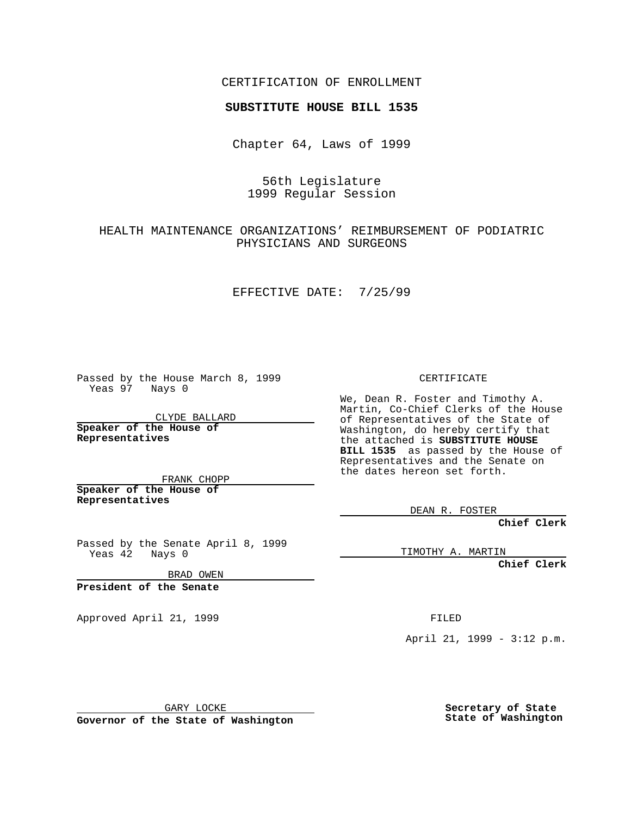CERTIFICATION OF ENROLLMENT

## **SUBSTITUTE HOUSE BILL 1535**

Chapter 64, Laws of 1999

56th Legislature 1999 Regular Session

HEALTH MAINTENANCE ORGANIZATIONS' REIMBURSEMENT OF PODIATRIC PHYSICIANS AND SURGEONS

EFFECTIVE DATE: 7/25/99

Passed by the House March 8, 1999 Yeas 97 Nays 0

CLYDE BALLARD **Speaker of the House of Representatives**

FRANK CHOPP **Speaker of the House of Representatives**

Passed by the Senate April 8, 1999 Yeas 42 Nays 0

BRAD OWEN

**President of the Senate**

Approved April 21, 1999 FILED

CERTIFICATE

We, Dean R. Foster and Timothy A. Martin, Co-Chief Clerks of the House of Representatives of the State of Washington, do hereby certify that the attached is **SUBSTITUTE HOUSE BILL 1535** as passed by the House of Representatives and the Senate on the dates hereon set forth.

DEAN R. FOSTER

**Chief Clerk**

TIMOTHY A. MARTIN

**Chief Clerk**

April 21, 1999 - 3:12 p.m.

GARY LOCKE

**Governor of the State of Washington**

**Secretary of State State of Washington**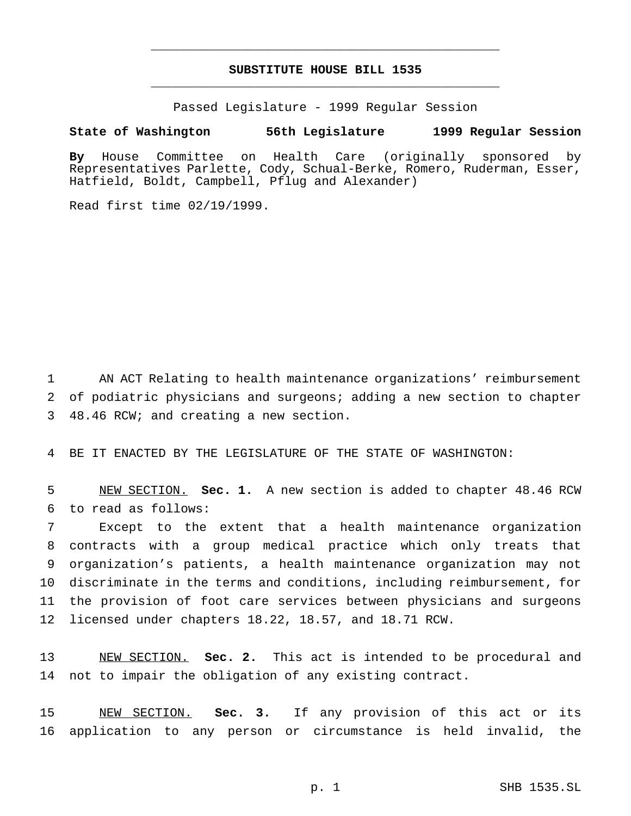## **SUBSTITUTE HOUSE BILL 1535** \_\_\_\_\_\_\_\_\_\_\_\_\_\_\_\_\_\_\_\_\_\_\_\_\_\_\_\_\_\_\_\_\_\_\_\_\_\_\_\_\_\_\_\_\_\_\_

\_\_\_\_\_\_\_\_\_\_\_\_\_\_\_\_\_\_\_\_\_\_\_\_\_\_\_\_\_\_\_\_\_\_\_\_\_\_\_\_\_\_\_\_\_\_\_

Passed Legislature - 1999 Regular Session

## **State of Washington 56th Legislature 1999 Regular Session**

**By** House Committee on Health Care (originally sponsored by Representatives Parlette, Cody, Schual-Berke, Romero, Ruderman, Esser, Hatfield, Boldt, Campbell, Pflug and Alexander)

Read first time 02/19/1999.

 AN ACT Relating to health maintenance organizations' reimbursement of podiatric physicians and surgeons; adding a new section to chapter 48.46 RCW; and creating a new section.

BE IT ENACTED BY THE LEGISLATURE OF THE STATE OF WASHINGTON:

 NEW SECTION. **Sec. 1.** A new section is added to chapter 48.46 RCW to read as follows:

 Except to the extent that a health maintenance organization contracts with a group medical practice which only treats that organization's patients, a health maintenance organization may not discriminate in the terms and conditions, including reimbursement, for the provision of foot care services between physicians and surgeons licensed under chapters 18.22, 18.57, and 18.71 RCW.

 NEW SECTION. **Sec. 2.** This act is intended to be procedural and not to impair the obligation of any existing contract.

 NEW SECTION. **Sec. 3.** If any provision of this act or its application to any person or circumstance is held invalid, the